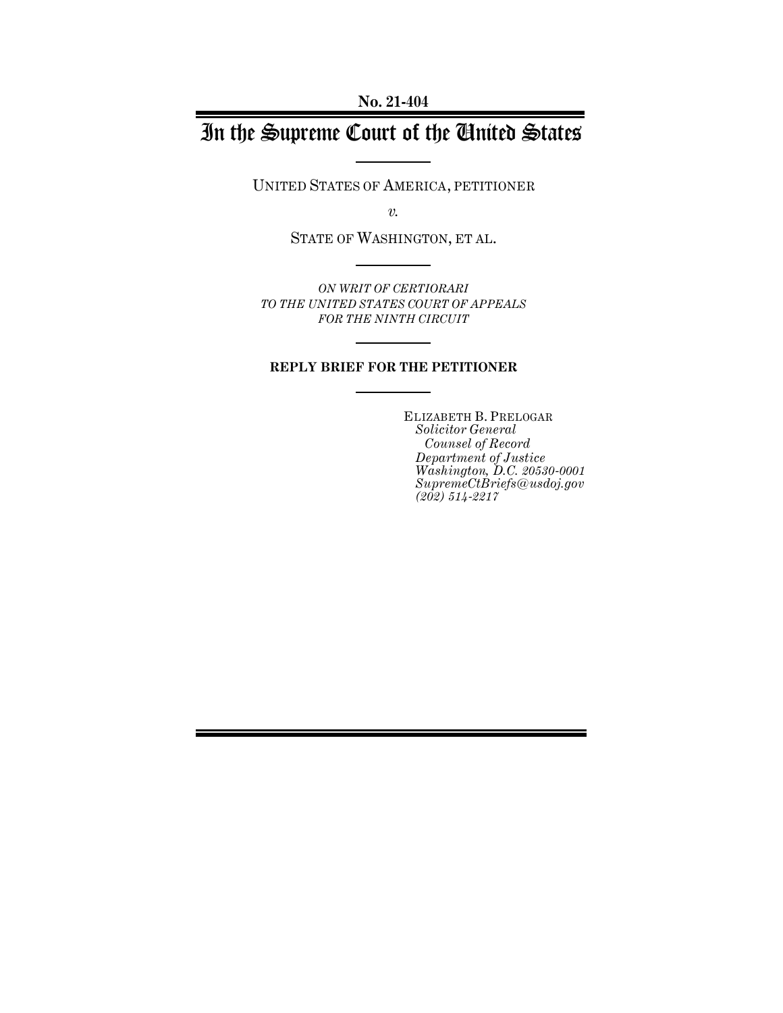**No. 21-404**

# In the Supreme Court of the United States

UNITED STATES OF AMERICA, PETITIONER

*v.*

STATE OF WASHINGTON, ET AL.

*ON WRIT OF CERTIORARI TO THE UNITED STATES COURT OF APPEALS FOR THE NINTH CIRCUIT*

#### **REPLY BRIEF FOR THE PETITIONER**

ELIZABETH B. PRELOGAR *Solicitor General Counsel of Record Department of Justice Washington, D.C. 20530-0001 SupremeCtBriefs@usdoj.gov (202) 514-2217*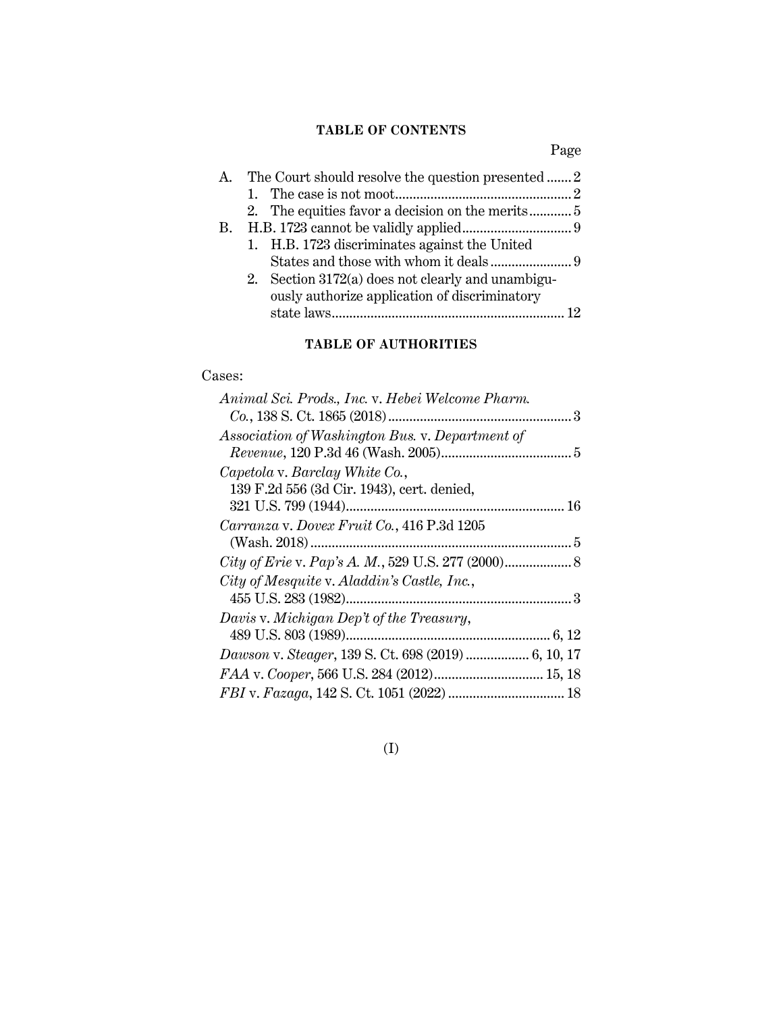### **TABLE OF CONTENTS**

Page

| A. | The Court should resolve the question presented  2  |  |
|----|-----------------------------------------------------|--|
|    |                                                     |  |
|    |                                                     |  |
| В. |                                                     |  |
|    | 1. H.B. 1723 discriminates against the United       |  |
|    |                                                     |  |
|    | 2. Section $3172(a)$ does not clearly and unambigu- |  |
|    | ously authorize application of discriminatory       |  |
|    |                                                     |  |
|    |                                                     |  |

### **TABLE OF AUTHORITIES**

### Cases:

| Animal Sci. Prods., Inc. v. Hebei Welcome Pharm. |  |
|--------------------------------------------------|--|
|                                                  |  |
| Association of Washington Bus. v. Department of  |  |
|                                                  |  |
| Capetola v. Barclay White Co.,                   |  |
| 139 F.2d 556 (3d Cir. 1943), cert. denied,       |  |
|                                                  |  |
| Carranza v. Dovex Fruit Co., 416 P.3d 1205       |  |
|                                                  |  |
|                                                  |  |
| City of Mesquite v. Aladdin's Castle, Inc.,      |  |
|                                                  |  |
| Davis v. Michigan Dep't of the Treasury,         |  |
|                                                  |  |
|                                                  |  |
| FAA v. Cooper, 566 U.S. 284 (2012) 15, 18        |  |
|                                                  |  |
|                                                  |  |

### (I)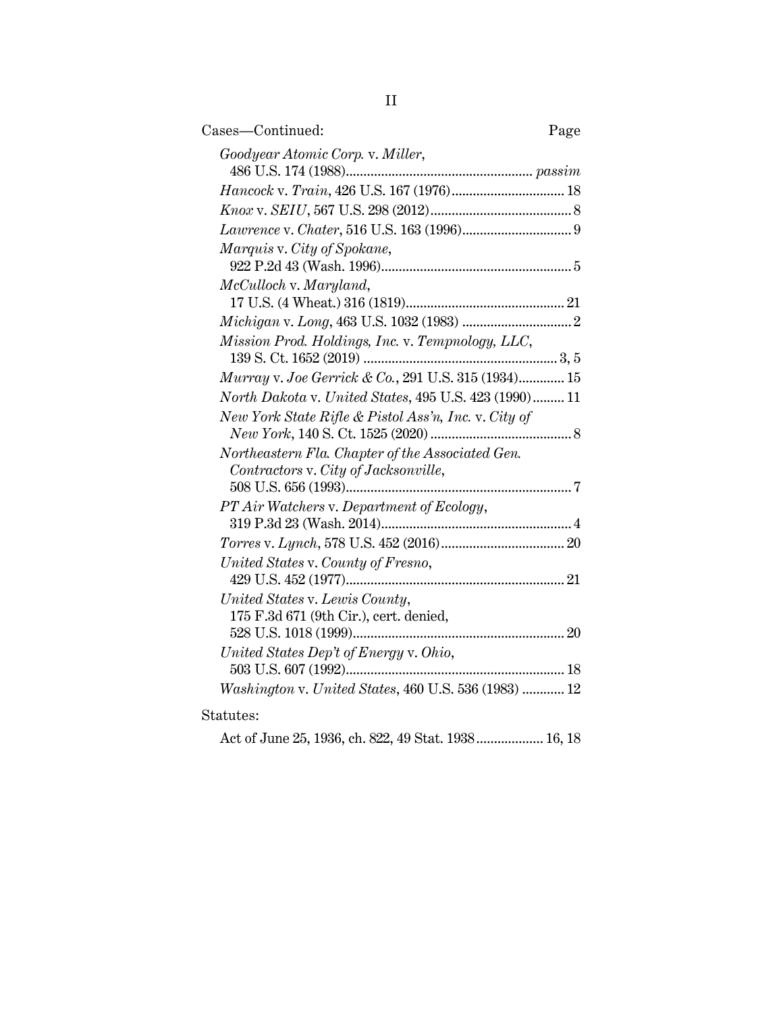| Cases-Continued:<br>Page                              |
|-------------------------------------------------------|
| Goodyear Atomic Corp. v. Miller,                      |
|                                                       |
|                                                       |
|                                                       |
| Marquis v. City of Spokane,                           |
| McCulloch v. Maryland,                                |
|                                                       |
|                                                       |
| Mission Prod. Holdings, Inc. v. Tempnology, LLC,      |
| Murray v. Joe Gerrick & Co., 291 U.S. 315 (1934) 15   |
| North Dakota v. United States, 495 U.S. 423 (1990) 11 |
| New York State Rifle & Pistol Ass'n, Inc. v. City of  |
| Northeastern Fla. Chapter of the Associated Gen.      |
| Contractors v. City of Jacksonville,                  |
|                                                       |
| PT Air Watchers v. Department of Ecology,             |
|                                                       |
|                                                       |
| United States v. County of Fresno,                    |
| United States v. Lewis County,                        |
| 175 F.3d 671 (9th Cir.), cert. denied,                |
|                                                       |
| United States Dep't of Energy v. Ohio,                |
|                                                       |
| Washington v. United States, 460 U.S. 536 (1983)  12  |
| Statutes:                                             |

Act of June 25, 1936, ch. 822, 49 Stat. 1938................... 16, 18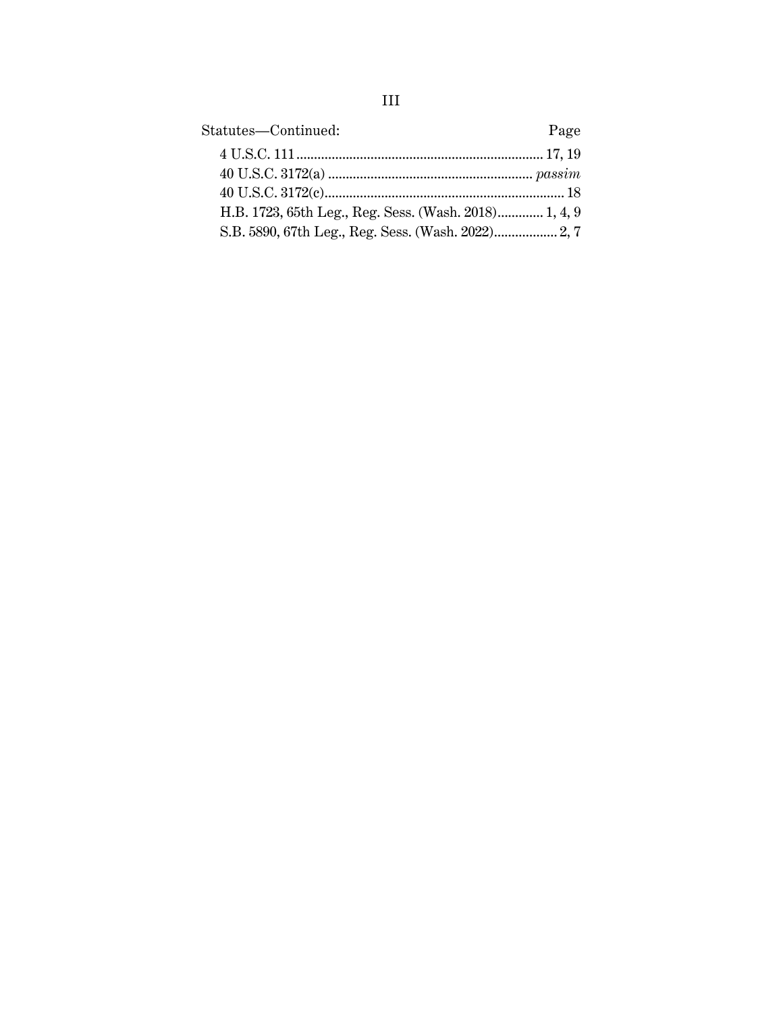| Statutes—Continued:                                   | Page |
|-------------------------------------------------------|------|
|                                                       |      |
|                                                       |      |
|                                                       |      |
| H.B. 1723, 65th Leg., Reg. Sess. (Wash. 2018) 1, 4, 9 |      |
| S.B. 5890, 67th Leg., Reg. Sess. (Wash. 2022) 2, 7    |      |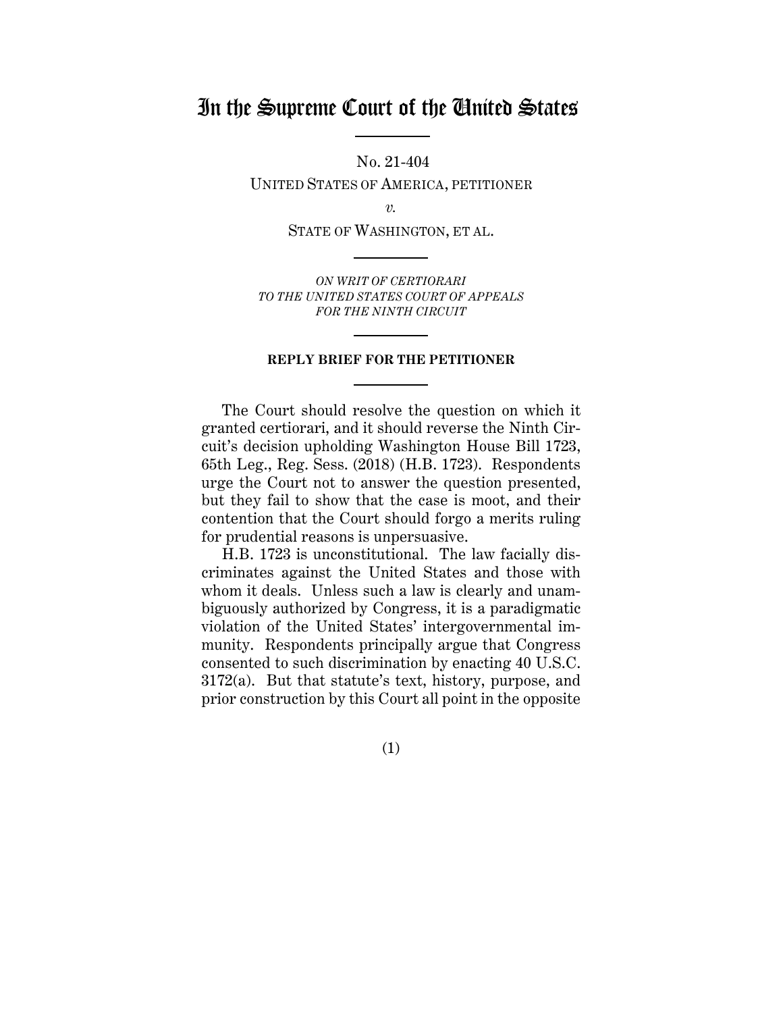## In the Supreme Court of the United States

No. 21-404

UNITED STATES OF AMERICA, PETITIONER

*v.*

STATE OF WASHINGTON, ET AL.

*ON WRIT OF CERTIORARI TO THE UNITED STATES COURT OF APPEALS FOR THE NINTH CIRCUIT*

#### **REPLY BRIEF FOR THE PETITIONER**

The Court should resolve the question on which it granted certiorari, and it should reverse the Ninth Circuit's decision upholding Washington House Bill 1723, 65th Leg., Reg. Sess. (2018) (H.B. 1723). Respondents urge the Court not to answer the question presented, but they fail to show that the case is moot, and their contention that the Court should forgo a merits ruling for prudential reasons is unpersuasive.

H.B. 1723 is unconstitutional. The law facially discriminates against the United States and those with whom it deals. Unless such a law is clearly and unambiguously authorized by Congress, it is a paradigmatic violation of the United States' intergovernmental immunity. Respondents principally argue that Congress consented to such discrimination by enacting 40 U.S.C. 3172(a). But that statute's text, history, purpose, and prior construction by this Court all point in the opposite

(1)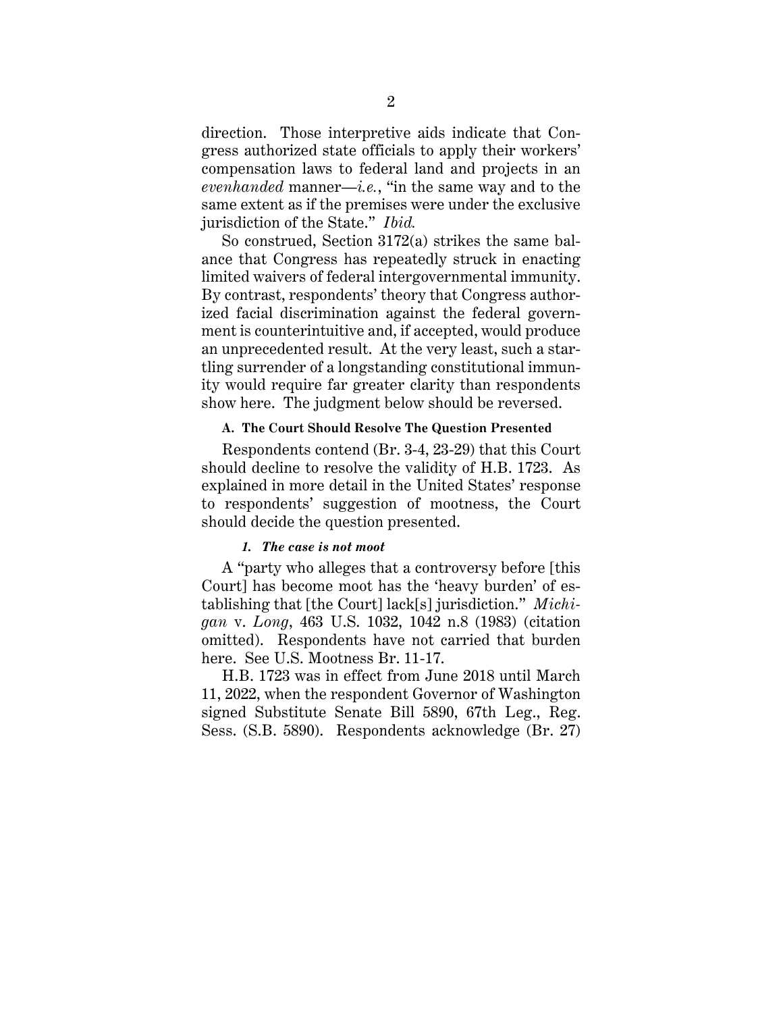direction. Those interpretive aids indicate that Congress authorized state officials to apply their workers' compensation laws to federal land and projects in an *evenhanded* manner—*i.e.*, "in the same way and to the same extent as if the premises were under the exclusive jurisdiction of the State." *Ibid.*

So construed, Section 3172(a) strikes the same balance that Congress has repeatedly struck in enacting limited waivers of federal intergovernmental immunity. By contrast, respondents' theory that Congress authorized facial discrimination against the federal government is counterintuitive and, if accepted, would produce an unprecedented result. At the very least, such a startling surrender of a longstanding constitutional immunity would require far greater clarity than respondents show here. The judgment below should be reversed.

#### **A. The Court Should Resolve The Question Presented**

Respondents contend (Br. 3-4, 23-29) that this Court should decline to resolve the validity of H.B. 1723. As explained in more detail in the United States' response to respondents' suggestion of mootness, the Court should decide the question presented.

#### *1. The case is not moot*

A "party who alleges that a controversy before [this Court] has become moot has the 'heavy burden' of establishing that [the Court] lack[s] jurisdiction." *Michigan* v. *Long*, 463 U.S. 1032, 1042 n.8 (1983) (citation omitted). Respondents have not carried that burden here. See U.S. Mootness Br. 11-17.

H.B. 1723 was in effect from June 2018 until March 11, 2022, when the respondent Governor of Washington signed Substitute Senate Bill 5890, 67th Leg., Reg. Sess. (S.B. 5890). Respondents acknowledge (Br. 27)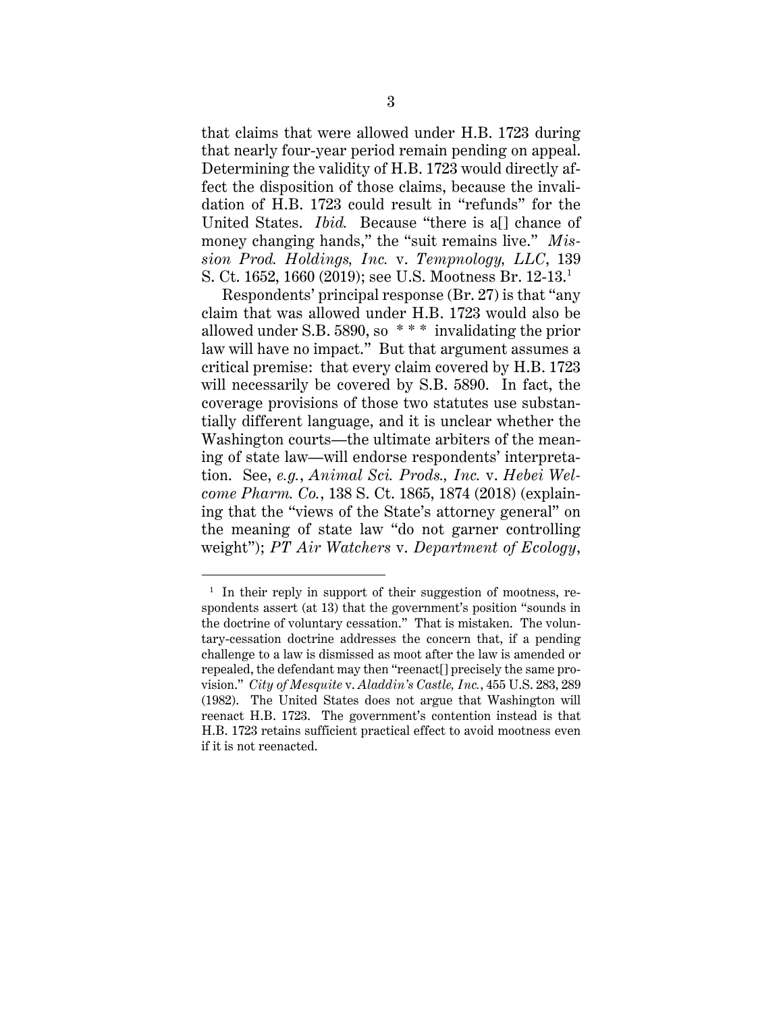that claims that were allowed under H.B. 1723 during that nearly four-year period remain pending on appeal. Determining the validity of H.B. 1723 would directly affect the disposition of those claims, because the invalidation of H.B. 1723 could result in "refunds" for the United States. *Ibid.* Because "there is a[] chance of money changing hands," the "suit remains live." *Mission Prod. Holdings, Inc.* v. *Tempnology, LLC*, 139 S. Ct. 1652, 1660 (2019); see U.S. Mootness Br. 12-13. 1

Respondents' principal response (Br. 27) is that "any claim that was allowed under H.B. 1723 would also be allowed under S.B. 5890, so \* \* \* invalidating the prior law will have no impact." But that argument assumes a critical premise: that every claim covered by H.B. 1723 will necessarily be covered by S.B. 5890. In fact, the coverage provisions of those two statutes use substantially different language, and it is unclear whether the Washington courts—the ultimate arbiters of the meaning of state law—will endorse respondents' interpretation. See, *e.g.*, *Animal Sci. Prods., Inc.* v. *Hebei Welcome Pharm. Co.*, 138 S. Ct. 1865, 1874 (2018) (explaining that the "views of the State's attorney general" on the meaning of state law "do not garner controlling weight"); *PT Air Watchers* v. *Department of Ecology*,

<sup>&</sup>lt;sup>1</sup> In their reply in support of their suggestion of mootness, respondents assert (at 13) that the government's position "sounds in the doctrine of voluntary cessation." That is mistaken. The voluntary-cessation doctrine addresses the concern that, if a pending challenge to a law is dismissed as moot after the law is amended or repealed, the defendant may then "reenact[] precisely the same provision." *City of Mesquite* v. *Aladdin's Castle, Inc.*, 455 U.S. 283, 289 (1982). The United States does not argue that Washington will reenact H.B. 1723. The government's contention instead is that H.B. 1723 retains sufficient practical effect to avoid mootness even if it is not reenacted.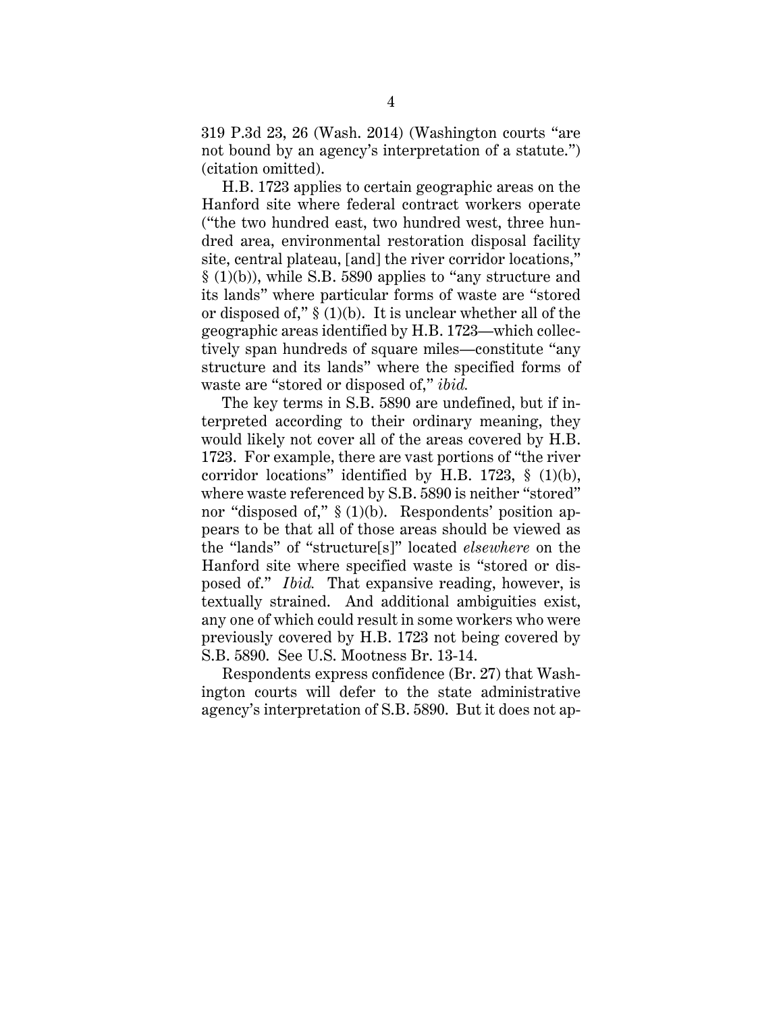319 P.3d 23, 26 (Wash. 2014) (Washington courts "are not bound by an agency's interpretation of a statute.") (citation omitted).

H.B. 1723 applies to certain geographic areas on the Hanford site where federal contract workers operate ("the two hundred east, two hundred west, three hundred area, environmental restoration disposal facility site, central plateau, [and] the river corridor locations," § (1)(b)), while S.B. 5890 applies to "any structure and its lands" where particular forms of waste are "stored or disposed of," § (1)(b). It is unclear whether all of the geographic areas identified by H.B. 1723—which collectively span hundreds of square miles—constitute "any structure and its lands" where the specified forms of waste are "stored or disposed of," *ibid.*

The key terms in S.B. 5890 are undefined, but if interpreted according to their ordinary meaning, they would likely not cover all of the areas covered by H.B. 1723. For example, there are vast portions of "the river corridor locations" identified by H.B. 1723,  $\S$  (1)(b), where waste referenced by S.B. 5890 is neither "stored" nor "disposed of," § (1)(b). Respondents' position appears to be that all of those areas should be viewed as the "lands" of "structure[s]" located *elsewhere* on the Hanford site where specified waste is "stored or disposed of." *Ibid.* That expansive reading, however, is textually strained. And additional ambiguities exist, any one of which could result in some workers who were previously covered by H.B. 1723 not being covered by S.B. 5890. See U.S. Mootness Br. 13-14.

Respondents express confidence (Br. 27) that Washington courts will defer to the state administrative agency's interpretation of S.B. 5890. But it does not ap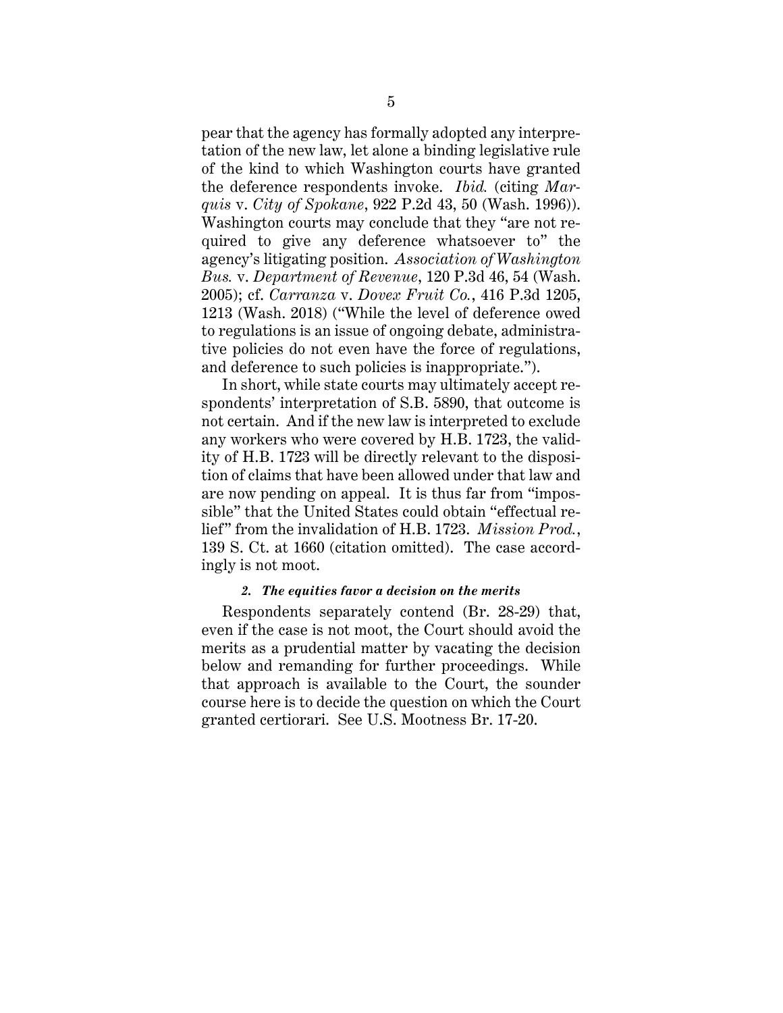pear that the agency has formally adopted any interpretation of the new law, let alone a binding legislative rule of the kind to which Washington courts have granted the deference respondents invoke. *Ibid.* (citing *Marquis* v. *City of Spokane*, 922 P.2d 43, 50 (Wash. 1996)). Washington courts may conclude that they "are not required to give any deference whatsoever to" the agency's litigating position. *Association of Washington Bus.* v. *Department of Revenue*, 120 P.3d 46, 54 (Wash. 2005); cf. *Carranza* v. *Dovex Fruit Co.*, 416 P.3d 1205, 1213 (Wash. 2018) ("While the level of deference owed to regulations is an issue of ongoing debate, administrative policies do not even have the force of regulations, and deference to such policies is inappropriate.").

In short, while state courts may ultimately accept respondents' interpretation of S.B. 5890, that outcome is not certain. And if the new law is interpreted to exclude any workers who were covered by H.B. 1723, the validity of H.B. 1723 will be directly relevant to the disposition of claims that have been allowed under that law and are now pending on appeal. It is thus far from "impossible" that the United States could obtain "effectual relief" from the invalidation of H.B. 1723. *Mission Prod.*, 139 S. Ct. at 1660 (citation omitted). The case accordingly is not moot.

#### *2. The equities favor a decision on the merits*

Respondents separately contend (Br. 28-29) that, even if the case is not moot, the Court should avoid the merits as a prudential matter by vacating the decision below and remanding for further proceedings. While that approach is available to the Court, the sounder course here is to decide the question on which the Court granted certiorari. See U.S. Mootness Br. 17-20.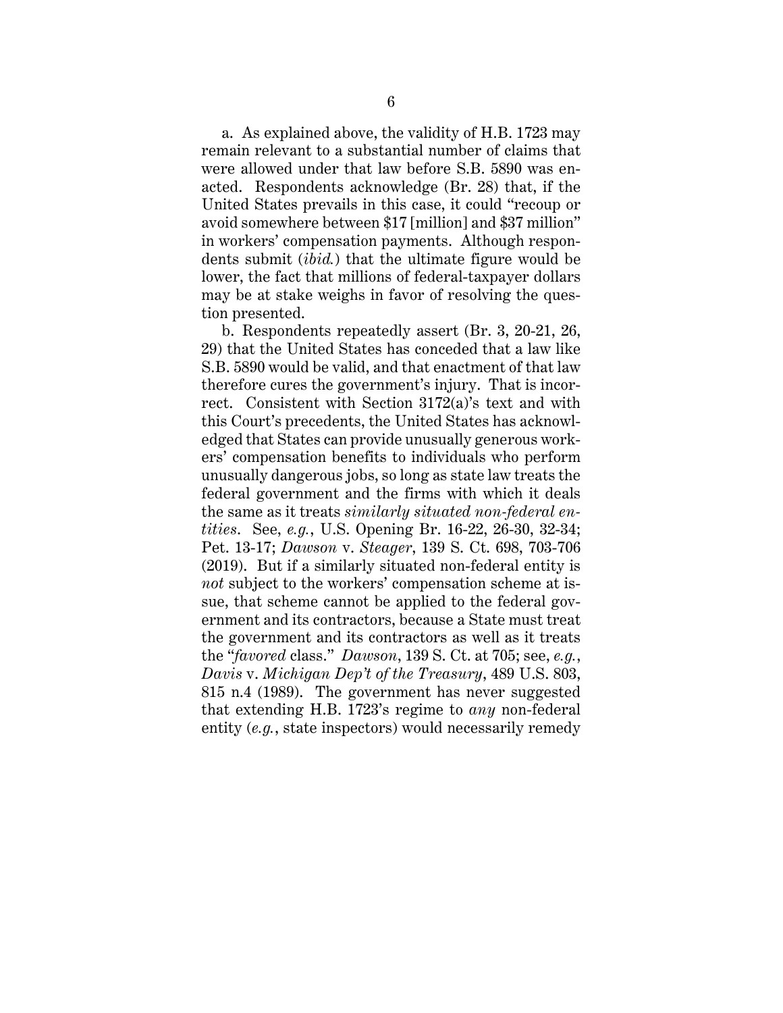a. As explained above, the validity of H.B. 1723 may remain relevant to a substantial number of claims that were allowed under that law before S.B. 5890 was enacted. Respondents acknowledge (Br. 28) that, if the United States prevails in this case, it could "recoup or avoid somewhere between \$17 [million] and \$37 million" in workers' compensation payments. Although respondents submit (*ibid.*) that the ultimate figure would be lower, the fact that millions of federal-taxpayer dollars may be at stake weighs in favor of resolving the question presented.

b. Respondents repeatedly assert (Br. 3, 20-21, 26, 29) that the United States has conceded that a law like S.B. 5890 would be valid, and that enactment of that law therefore cures the government's injury. That is incorrect. Consistent with Section 3172(a)'s text and with this Court's precedents, the United States has acknowledged that States can provide unusually generous workers' compensation benefits to individuals who perform unusually dangerous jobs, so long as state law treats the federal government and the firms with which it deals the same as it treats *similarly situated non-federal entities*. See, *e.g.*, U.S. Opening Br. 16-22, 26-30, 32-34; Pet. 13-17; *Dawson* v. *Steager*, 139 S. Ct. 698, 703-706 (2019). But if a similarly situated non-federal entity is *not* subject to the workers' compensation scheme at issue, that scheme cannot be applied to the federal government and its contractors, because a State must treat the government and its contractors as well as it treats the "*favored* class." *Dawson*, 139 S. Ct. at 705; see, *e.g.*, *Davis* v. *Michigan Dep't of the Treasury*, 489 U.S. 803, 815 n.4 (1989). The government has never suggested that extending H.B. 1723's regime to *any* non-federal entity (*e.g.*, state inspectors) would necessarily remedy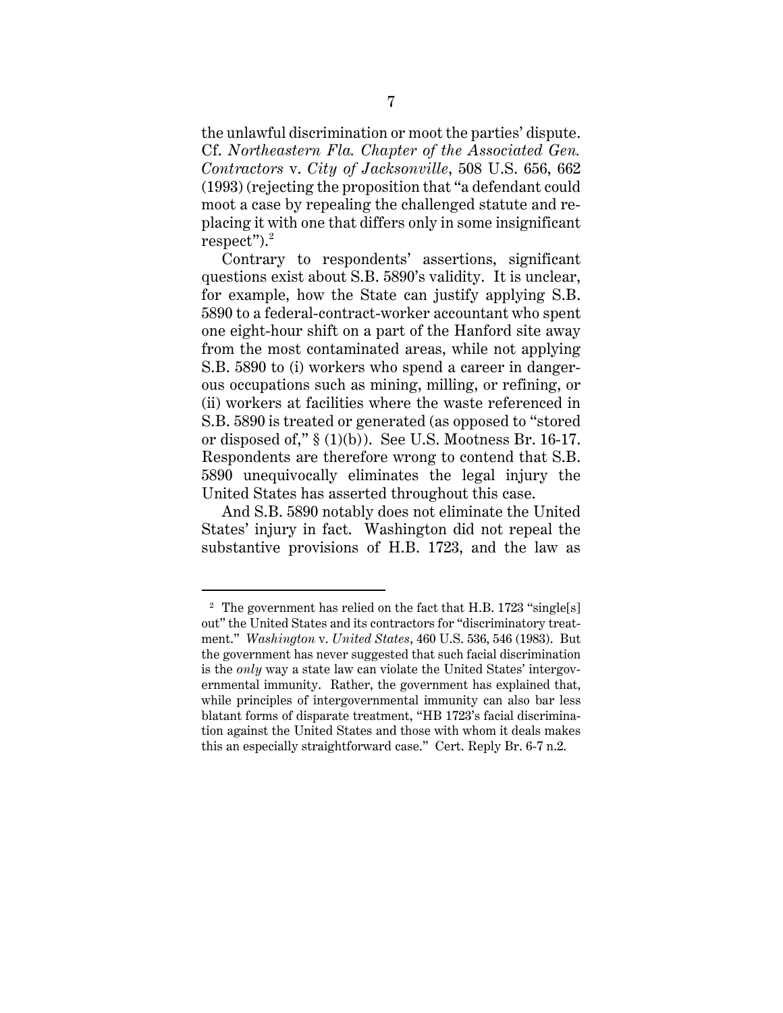the unlawful discrimination or moot the parties' dispute. Cf. *Northeastern Fla. Chapter of the Associated Gen. Contractors* v. *City of Jacksonville*, 508 U.S. 656, 662 (1993) (rejecting the proposition that "a defendant could moot a case by repealing the challenged statute and replacing it with one that differs only in some insignificant  ${\rm respect}$ "). $^2$ 

Contrary to respondents' assertions, significant questions exist about S.B. 5890's validity. It is unclear, for example, how the State can justify applying S.B. 5890 to a federal-contract-worker accountant who spent one eight-hour shift on a part of the Hanford site away from the most contaminated areas, while not applying S.B. 5890 to (i) workers who spend a career in dangerous occupations such as mining, milling, or refining, or (ii) workers at facilities where the waste referenced in S.B. 5890 is treated or generated (as opposed to "stored or disposed of,"  $\S(1)(b)$ ). See U.S. Mootness Br. 16-17. Respondents are therefore wrong to contend that S.B. 5890 unequivocally eliminates the legal injury the United States has asserted throughout this case.

And S.B. 5890 notably does not eliminate the United States' injury in fact. Washington did not repeal the substantive provisions of H.B. 1723, and the law as

<sup>&</sup>lt;sup>2</sup> The government has relied on the fact that H.B. 1723 "single[s] out" the United States and its contractors for "discriminatory treatment." *Washington* v. *United States*, 460 U.S. 536, 546 (1983). But the government has never suggested that such facial discrimination is the *only* way a state law can violate the United States' intergovernmental immunity. Rather, the government has explained that, while principles of intergovernmental immunity can also bar less blatant forms of disparate treatment, "HB 1723's facial discrimination against the United States and those with whom it deals makes this an especially straightforward case." Cert. Reply Br. 6-7 n.2.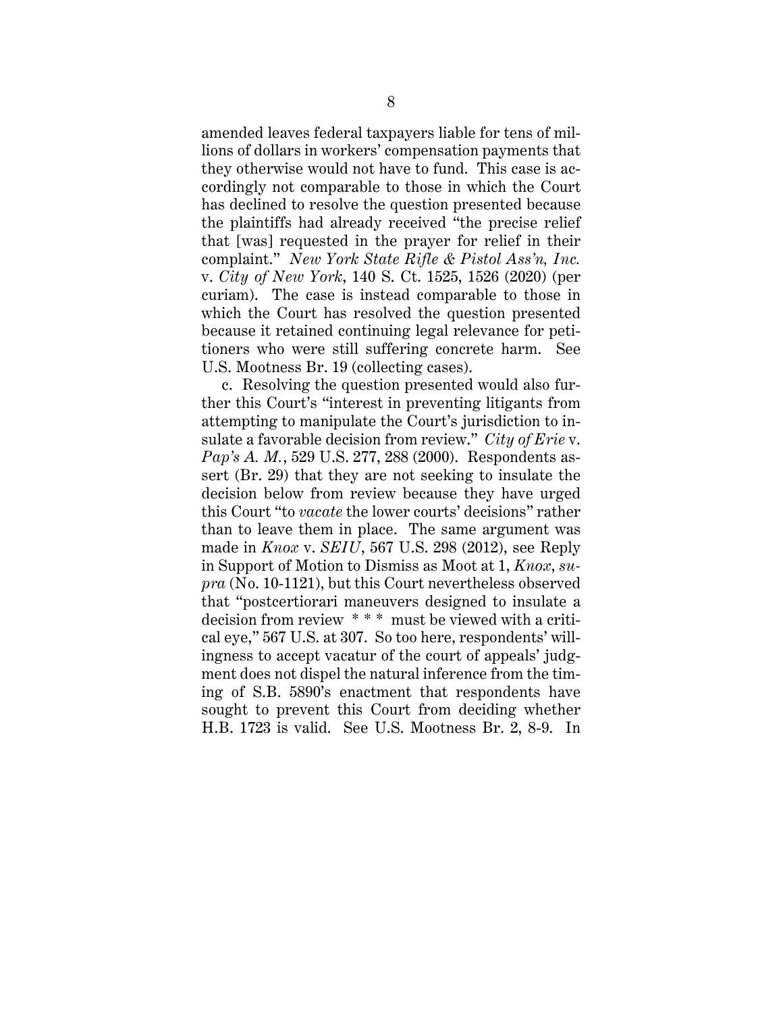amended leaves federal taxpayers liable for tens of millions of dollars in workers' compensation payments that they otherwise would not have to fund. This case is accordingly not comparable to those in which the Court has declined to resolve the question presented because the plaintiffs had already received "the precise relief that [was] requested in the prayer for relief in their complaint." *New York State Rifle & Pistol Ass'n, Inc.* v. *City of New York*, 140 S. Ct. 1525, 1526 (2020) (per curiam). The case is instead comparable to those in which the Court has resolved the question presented because it retained continuing legal relevance for petitioners who were still suffering concrete harm. See U.S. Mootness Br. 19 (collecting cases).

c. Resolving the question presented would also further this Court's "interest in preventing litigants from attempting to manipulate the Court's jurisdiction to insulate a favorable decision from review." *City of Erie* v. *Pap's A. M.*, 529 U.S. 277, 288 (2000). Respondents assert (Br. 29) that they are not seeking to insulate the decision below from review because they have urged this Court "to *vacate* the lower courts' decisions" rather than to leave them in place. The same argument was made in *Knox* v. *SEIU*, 567 U.S. 298 (2012), see Reply in Support of Motion to Dismiss as Moot at 1, *Knox*, *supra* (No. 10-1121), but this Court nevertheless observed that "postcertiorari maneuvers designed to insulate a decision from review \* \* \* must be viewed with a critical eye," 567 U.S. at 307. So too here, respondents' willingness to accept vacatur of the court of appeals' judgment does not dispel the natural inference from the timing of S.B. 5890's enactment that respondents have sought to prevent this Court from deciding whether H.B. 1723 is valid. See U.S. Mootness Br. 2, 8-9. In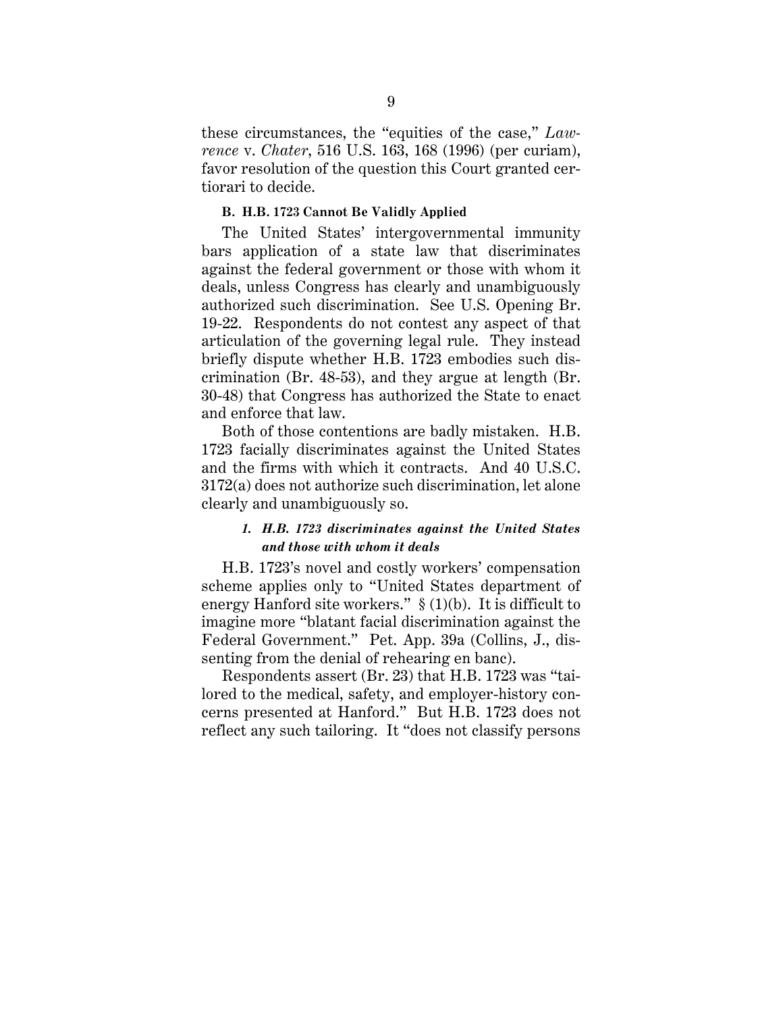these circumstances, the "equities of the case," *Lawrence* v. *Chater*, 516 U.S. 163, 168 (1996) (per curiam), favor resolution of the question this Court granted certiorari to decide.

#### **B. H.B. 1723 Cannot Be Validly Applied**

The United States' intergovernmental immunity bars application of a state law that discriminates against the federal government or those with whom it deals, unless Congress has clearly and unambiguously authorized such discrimination. See U.S. Opening Br. 19-22. Respondents do not contest any aspect of that articulation of the governing legal rule. They instead briefly dispute whether H.B. 1723 embodies such discrimination (Br. 48-53), and they argue at length (Br. 30-48) that Congress has authorized the State to enact and enforce that law.

Both of those contentions are badly mistaken. H.B. 1723 facially discriminates against the United States and the firms with which it contracts. And 40 U.S.C. 3172(a) does not authorize such discrimination, let alone clearly and unambiguously so.

#### *1. H.B. 1723 discriminates against the United States and those with whom it deals*

H.B. 1723's novel and costly workers' compensation scheme applies only to "United States department of energy Hanford site workers."  $\S(1)(b)$ . It is difficult to imagine more "blatant facial discrimination against the Federal Government." Pet. App. 39a (Collins, J., dissenting from the denial of rehearing en banc).

Respondents assert (Br. 23) that H.B. 1723 was "tailored to the medical, safety, and employer-history concerns presented at Hanford." But H.B. 1723 does not reflect any such tailoring. It "does not classify persons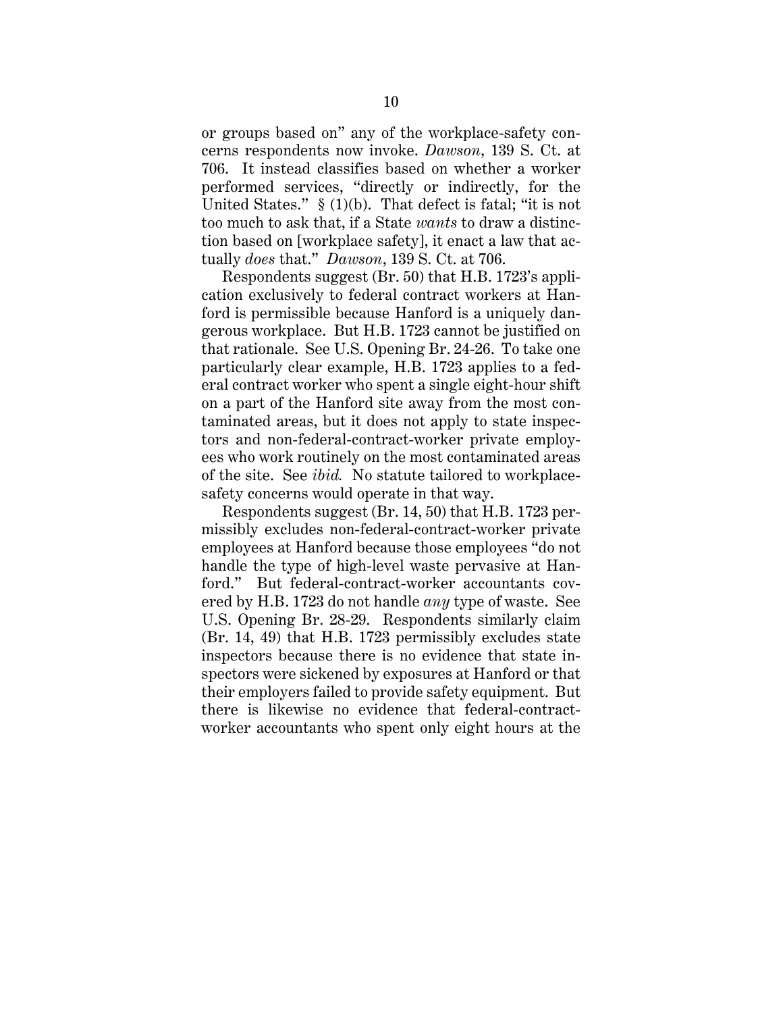or groups based on" any of the workplace-safety concerns respondents now invoke. *Dawson*, 139 S. Ct. at 706. It instead classifies based on whether a worker performed services, "directly or indirectly, for the United States."  $\S(1)(b)$ . That defect is fatal; "it is not too much to ask that, if a State *wants* to draw a distinction based on [workplace safety], it enact a law that actually *does* that." *Dawson*, 139 S. Ct. at 706.

Respondents suggest (Br. 50) that H.B. 1723's application exclusively to federal contract workers at Hanford is permissible because Hanford is a uniquely dangerous workplace. But H.B. 1723 cannot be justified on that rationale. See U.S. Opening Br. 24-26. To take one particularly clear example, H.B. 1723 applies to a federal contract worker who spent a single eight-hour shift on a part of the Hanford site away from the most contaminated areas, but it does not apply to state inspectors and non-federal-contract-worker private employees who work routinely on the most contaminated areas of the site. See *ibid.* No statute tailored to workplacesafety concerns would operate in that way.

Respondents suggest (Br. 14, 50) that H.B. 1723 permissibly excludes non-federal-contract-worker private employees at Hanford because those employees "do not handle the type of high-level waste pervasive at Hanford." But federal-contract-worker accountants covered by H.B. 1723 do not handle *any* type of waste. See U.S. Opening Br. 28-29. Respondents similarly claim (Br. 14, 49) that H.B. 1723 permissibly excludes state inspectors because there is no evidence that state inspectors were sickened by exposures at Hanford or that their employers failed to provide safety equipment. But there is likewise no evidence that federal-contractworker accountants who spent only eight hours at the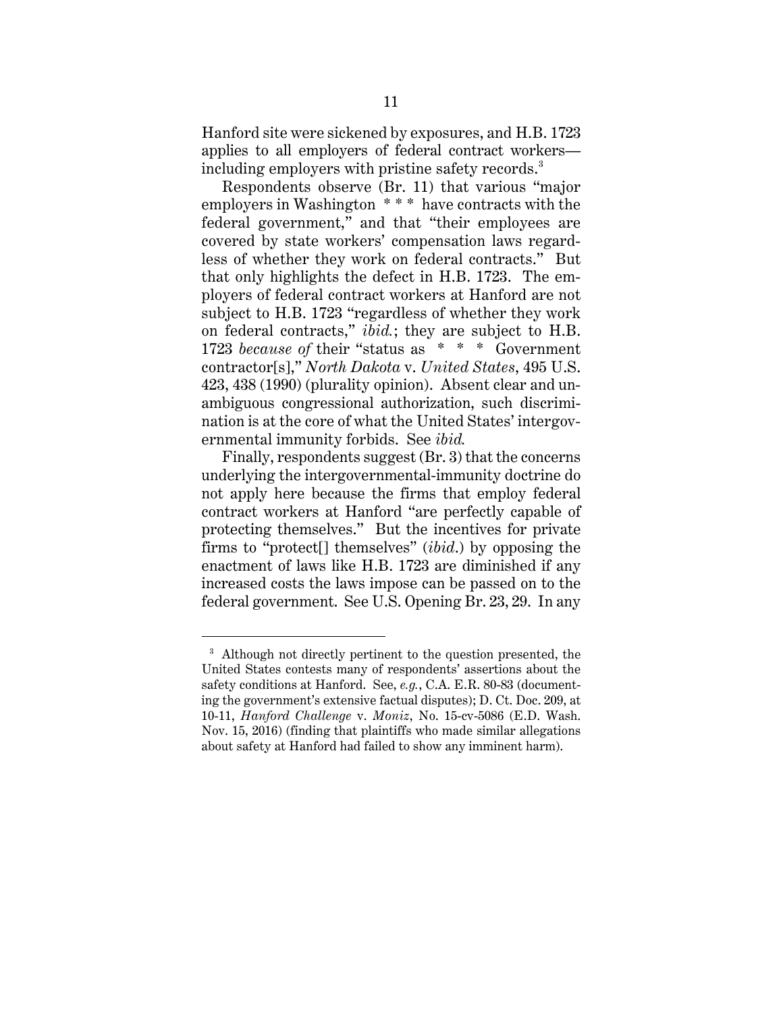Hanford site were sickened by exposures, and H.B. 1723 applies to all employers of federal contract workers including employers with pristine safety records.<sup>3</sup>

Respondents observe (Br. 11) that various "major employers in Washington \* \* \* have contracts with the federal government," and that "their employees are covered by state workers' compensation laws regardless of whether they work on federal contracts." But that only highlights the defect in H.B. 1723. The employers of federal contract workers at Hanford are not subject to H.B. 1723 "regardless of whether they work on federal contracts," *ibid.*; they are subject to H.B. 1723 *because of* their "status as \* \* \* Government contractor[s]," *North Dakota* v. *United States*, 495 U.S. 423, 438 (1990) (plurality opinion). Absent clear and unambiguous congressional authorization, such discrimination is at the core of what the United States' intergovernmental immunity forbids. See *ibid.*

Finally, respondents suggest (Br. 3) that the concerns underlying the intergovernmental-immunity doctrine do not apply here because the firms that employ federal contract workers at Hanford "are perfectly capable of protecting themselves." But the incentives for private firms to "protect[] themselves" (*ibid*.) by opposing the enactment of laws like H.B. 1723 are diminished if any increased costs the laws impose can be passed on to the federal government. See U.S. Opening Br. 23, 29. In any

<sup>&</sup>lt;sup>3</sup> Although not directly pertinent to the question presented, the United States contests many of respondents' assertions about the safety conditions at Hanford. See, *e.g.*, C.A. E.R. 80-83 (documenting the government's extensive factual disputes); D. Ct. Doc. 209, at 10-11, *Hanford Challenge* v. *Moniz*, No. 15-cv-5086 (E.D. Wash. Nov. 15, 2016) (finding that plaintiffs who made similar allegations about safety at Hanford had failed to show any imminent harm).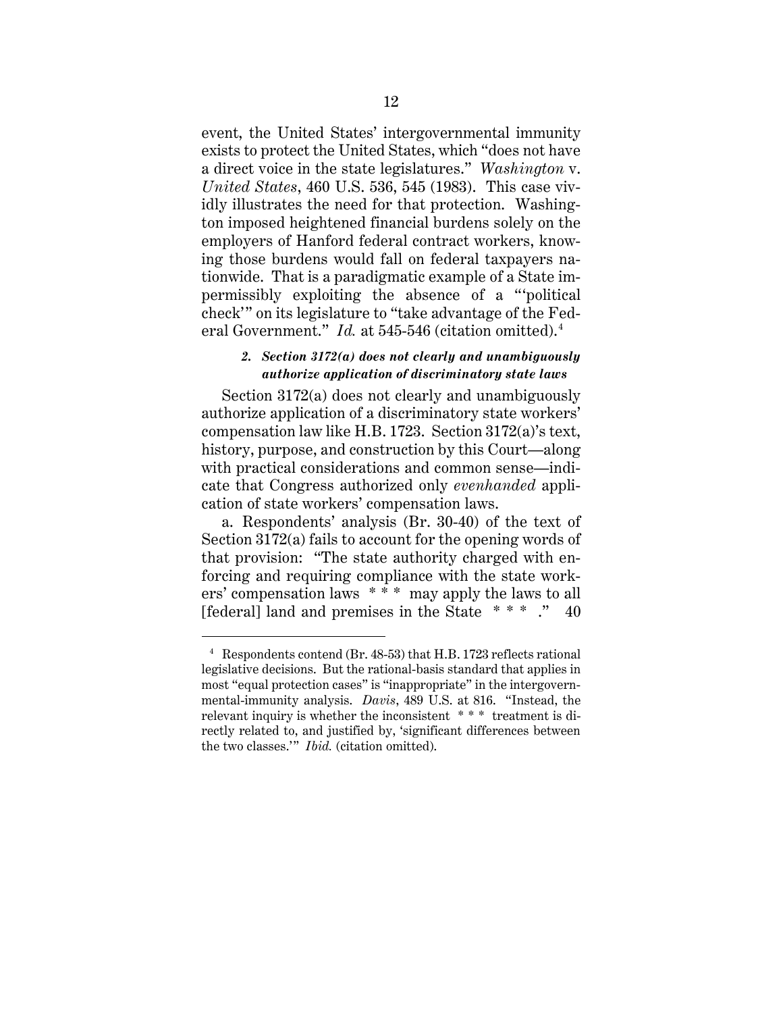event, the United States' intergovernmental immunity exists to protect the United States, which "does not have a direct voice in the state legislatures." *Washington* v. *United States*, 460 U.S. 536, 545 (1983). This case vividly illustrates the need for that protection. Washington imposed heightened financial burdens solely on the employers of Hanford federal contract workers, knowing those burdens would fall on federal taxpayers nationwide. That is a paradigmatic example of a State impermissibly exploiting the absence of a "'political check'" on its legislature to "take advantage of the Federal Government." *Id.* at 545-546 (citation omitted). 4

#### *2. Section 3172(a) does not clearly and unambiguously authorize application of discriminatory state laws*

Section 3172(a) does not clearly and unambiguously authorize application of a discriminatory state workers' compensation law like H.B. 1723. Section 3172(a)'s text, history, purpose, and construction by this Court—along with practical considerations and common sense—indicate that Congress authorized only *evenhanded* application of state workers' compensation laws.

a. Respondents' analysis (Br. 30-40) of the text of Section 3172(a) fails to account for the opening words of that provision: "The state authority charged with enforcing and requiring compliance with the state workers' compensation laws \* \* \* may apply the laws to all [federal] land and premises in the State \* \* \* ." 40

<sup>4</sup> Respondents contend (Br. 48-53) that H.B. 1723 reflects rational legislative decisions. But the rational-basis standard that applies in most "equal protection cases" is "inappropriate" in the intergovernmental-immunity analysis. *Davis*, 489 U.S. at 816. "Instead, the relevant inquiry is whether the inconsistent \* \* \* treatment is directly related to, and justified by, 'significant differences between the two classes.'" *Ibid.* (citation omitted).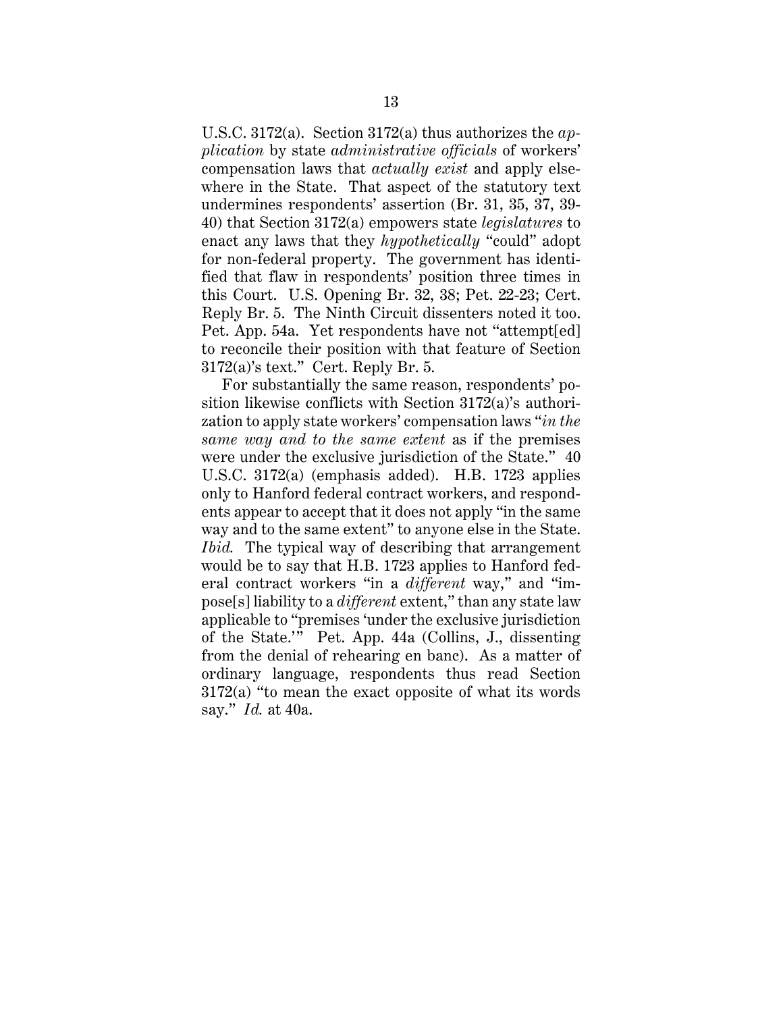U.S.C. 3172(a). Section 3172(a) thus authorizes the *application* by state *administrative officials* of workers' compensation laws that *actually exist* and apply elsewhere in the State. That aspect of the statutory text undermines respondents' assertion (Br. 31, 35, 37, 39- 40) that Section 3172(a) empowers state *legislatures* to enact any laws that they *hypothetically* "could" adopt for non-federal property. The government has identified that flaw in respondents' position three times in this Court. U.S. Opening Br. 32, 38; Pet. 22-23; Cert. Reply Br. 5. The Ninth Circuit dissenters noted it too. Pet. App. 54a. Yet respondents have not "attempt[ed] to reconcile their position with that feature of Section 3172(a)'s text." Cert. Reply Br. 5.

For substantially the same reason, respondents' position likewise conflicts with Section 3172(a)'s authorization to apply state workers' compensation laws "*in the same way and to the same extent* as if the premises were under the exclusive jurisdiction of the State." 40 U.S.C. 3172(a) (emphasis added). H.B. 1723 applies only to Hanford federal contract workers, and respondents appear to accept that it does not apply "in the same way and to the same extent" to anyone else in the State. *Ibid.* The typical way of describing that arrangement would be to say that H.B. 1723 applies to Hanford federal contract workers "in a *different* way," and "impose[s] liability to a *different* extent," than any state law applicable to "premises 'under the exclusive jurisdiction of the State.'" Pet. App. 44a (Collins, J., dissenting from the denial of rehearing en banc). As a matter of ordinary language, respondents thus read Section 3172(a) "to mean the exact opposite of what its words say." *Id.* at 40a.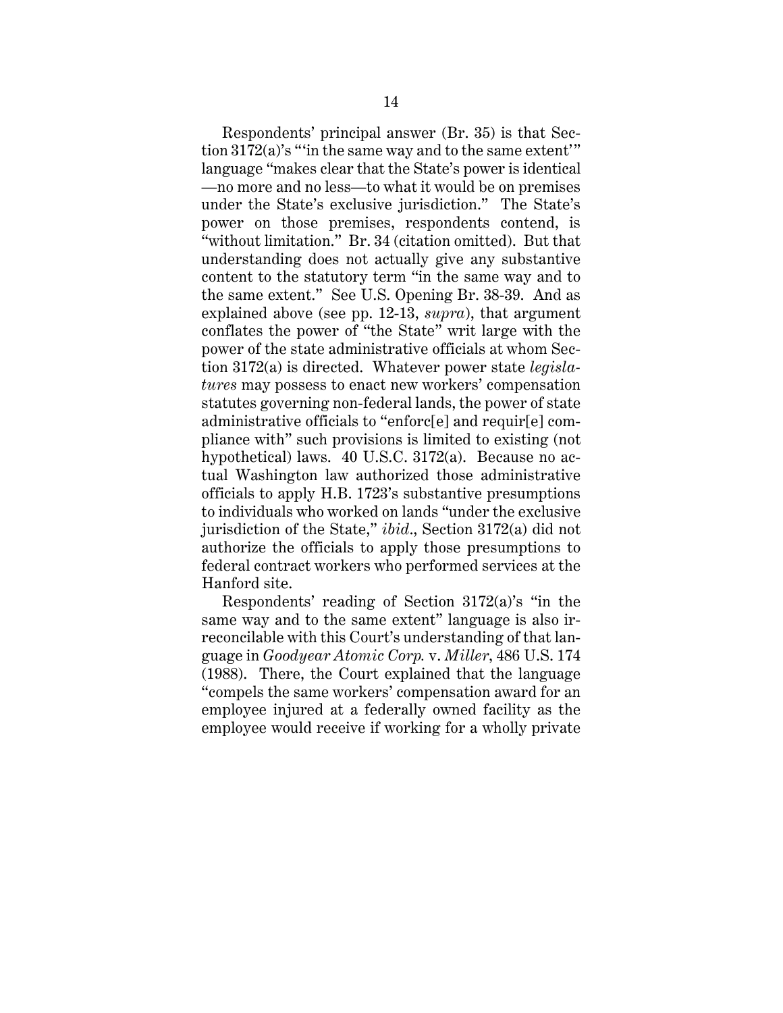Respondents' principal answer (Br. 35) is that Section 3172(a)'s "'in the same way and to the same extent'" language "makes clear that the State's power is identical —no more and no less—to what it would be on premises under the State's exclusive jurisdiction." The State's power on those premises, respondents contend, is "without limitation." Br. 34 (citation omitted). But that understanding does not actually give any substantive content to the statutory term "in the same way and to the same extent." See U.S. Opening Br. 38-39. And as explained above (see pp. 12-13, *supra*), that argument conflates the power of "the State" writ large with the power of the state administrative officials at whom Section 3172(a) is directed. Whatever power state *legislatures* may possess to enact new workers' compensation statutes governing non-federal lands, the power of state administrative officials to "enforc[e] and requir[e] compliance with" such provisions is limited to existing (not hypothetical) laws. 40 U.S.C. 3172(a). Because no actual Washington law authorized those administrative officials to apply H.B. 1723's substantive presumptions to individuals who worked on lands "under the exclusive jurisdiction of the State," *ibid*., Section 3172(a) did not authorize the officials to apply those presumptions to federal contract workers who performed services at the Hanford site.

Respondents' reading of Section 3172(a)'s "in the same way and to the same extent" language is also irreconcilable with this Court's understanding of that language in *Goodyear Atomic Corp.* v. *Miller*, 486 U.S. 174 (1988). There, the Court explained that the language "compels the same workers' compensation award for an employee injured at a federally owned facility as the employee would receive if working for a wholly private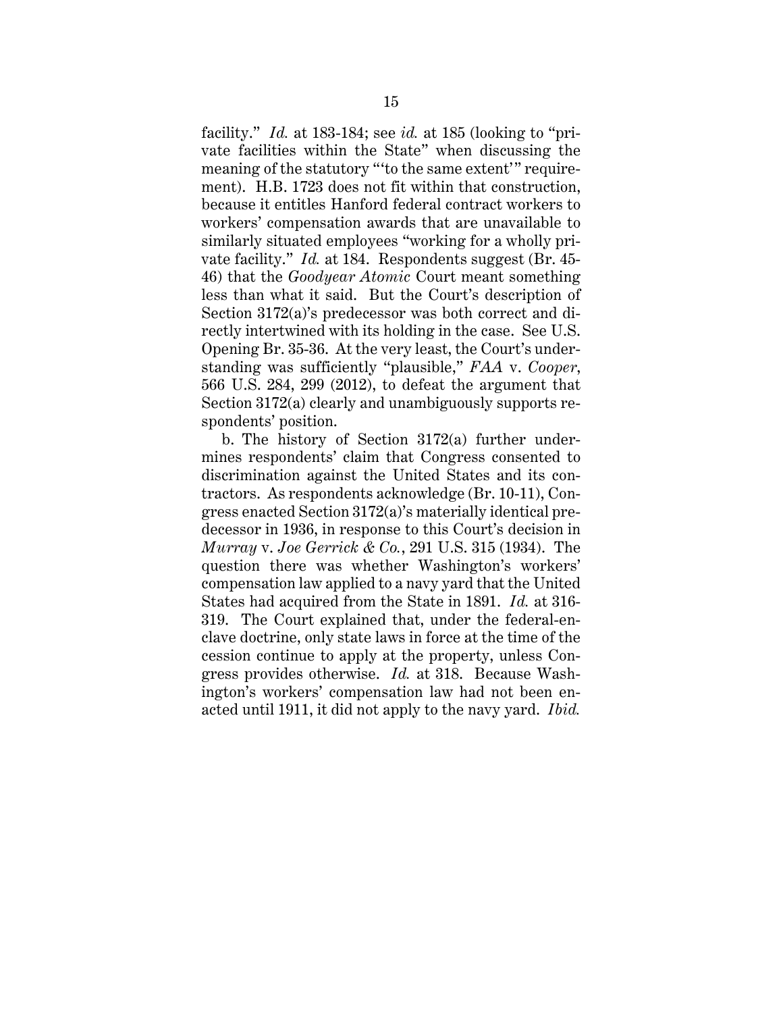facility." *Id.* at 183-184; see *id.* at 185 (looking to "private facilities within the State" when discussing the meaning of the statutory "'to the same extent'" requirement). H.B. 1723 does not fit within that construction, because it entitles Hanford federal contract workers to workers' compensation awards that are unavailable to similarly situated employees "working for a wholly private facility." *Id.* at 184. Respondents suggest (Br. 45- 46) that the *Goodyear Atomic* Court meant something less than what it said. But the Court's description of Section 3172(a)'s predecessor was both correct and directly intertwined with its holding in the case. See U.S. Opening Br. 35-36. At the very least, the Court's understanding was sufficiently "plausible," *FAA* v. *Cooper*, 566 U.S. 284, 299 (2012), to defeat the argument that Section 3172(a) clearly and unambiguously supports respondents' position.

b. The history of Section 3172(a) further undermines respondents' claim that Congress consented to discrimination against the United States and its contractors. As respondents acknowledge (Br. 10-11), Congress enacted Section 3172(a)'s materially identical predecessor in 1936, in response to this Court's decision in *Murray* v. *Joe Gerrick & Co.*, 291 U.S. 315 (1934). The question there was whether Washington's workers' compensation law applied to a navy yard that the United States had acquired from the State in 1891. *Id.* at 316- 319. The Court explained that, under the federal-enclave doctrine, only state laws in force at the time of the cession continue to apply at the property, unless Congress provides otherwise. *Id.* at 318. Because Washington's workers' compensation law had not been enacted until 1911, it did not apply to the navy yard. *Ibid.*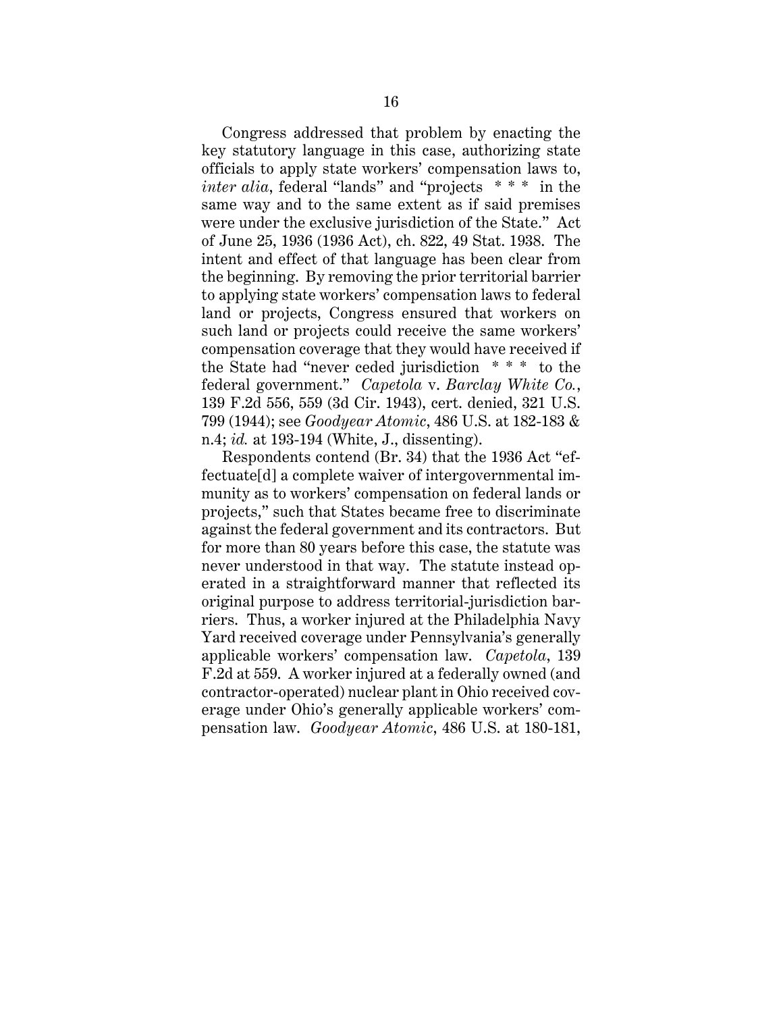Congress addressed that problem by enacting the key statutory language in this case, authorizing state officials to apply state workers' compensation laws to, *inter alia*, federal "lands" and "projects \* \* \* in the same way and to the same extent as if said premises were under the exclusive jurisdiction of the State." Act of June 25, 1936 (1936 Act), ch. 822, 49 Stat. 1938. The intent and effect of that language has been clear from the beginning. By removing the prior territorial barrier to applying state workers' compensation laws to federal land or projects, Congress ensured that workers on such land or projects could receive the same workers' compensation coverage that they would have received if the State had "never ceded jurisdiction \* \* \* to the federal government." *Capetola* v. *Barclay White Co.*, 139 F.2d 556, 559 (3d Cir. 1943), cert. denied, 321 U.S. 799 (1944); see *Goodyear Atomic*, 486 U.S. at 182-183 & n.4; *id.* at 193-194 (White, J., dissenting).

Respondents contend (Br. 34) that the 1936 Act "effectuate[d] a complete waiver of intergovernmental immunity as to workers' compensation on federal lands or projects," such that States became free to discriminate against the federal government and its contractors. But for more than 80 years before this case, the statute was never understood in that way. The statute instead operated in a straightforward manner that reflected its original purpose to address territorial-jurisdiction barriers. Thus, a worker injured at the Philadelphia Navy Yard received coverage under Pennsylvania's generally applicable workers' compensation law. *Capetola*, 139 F.2d at 559. A worker injured at a federally owned (and contractor-operated) nuclear plant in Ohio received coverage under Ohio's generally applicable workers' compensation law. *Goodyear Atomic*, 486 U.S. at 180-181,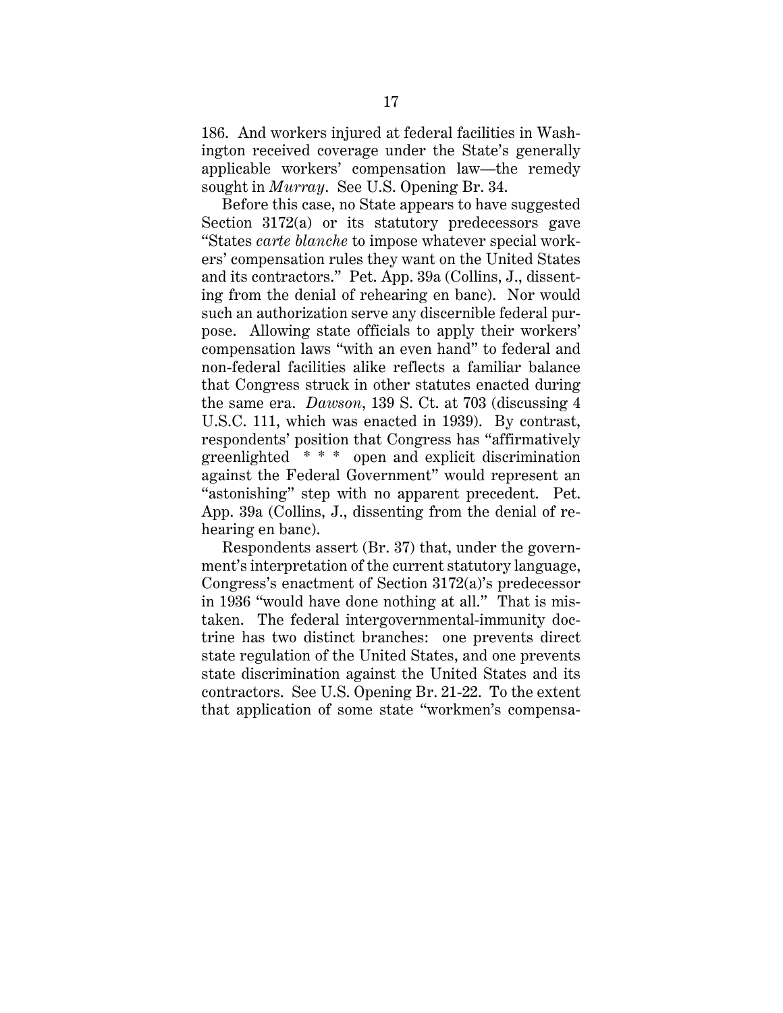186. And workers injured at federal facilities in Washington received coverage under the State's generally applicable workers' compensation law—the remedy sought in *Murray*. See U.S. Opening Br. 34.

Before this case, no State appears to have suggested Section 3172(a) or its statutory predecessors gave "States *carte blanche* to impose whatever special workers' compensation rules they want on the United States and its contractors." Pet. App. 39a (Collins, J., dissenting from the denial of rehearing en banc). Nor would such an authorization serve any discernible federal purpose. Allowing state officials to apply their workers' compensation laws "with an even hand" to federal and non-federal facilities alike reflects a familiar balance that Congress struck in other statutes enacted during the same era. *Dawson*, 139 S. Ct. at 703 (discussing 4 U.S.C. 111, which was enacted in 1939). By contrast, respondents' position that Congress has "affirmatively greenlighted \* \* \* open and explicit discrimination against the Federal Government" would represent an "astonishing" step with no apparent precedent. Pet. App. 39a (Collins, J., dissenting from the denial of rehearing en banc).

Respondents assert (Br. 37) that, under the government's interpretation of the current statutory language, Congress's enactment of Section 3172(a)'s predecessor in 1936 "would have done nothing at all." That is mistaken. The federal intergovernmental-immunity doctrine has two distinct branches: one prevents direct state regulation of the United States, and one prevents state discrimination against the United States and its contractors. See U.S. Opening Br. 21-22. To the extent that application of some state "workmen's compensa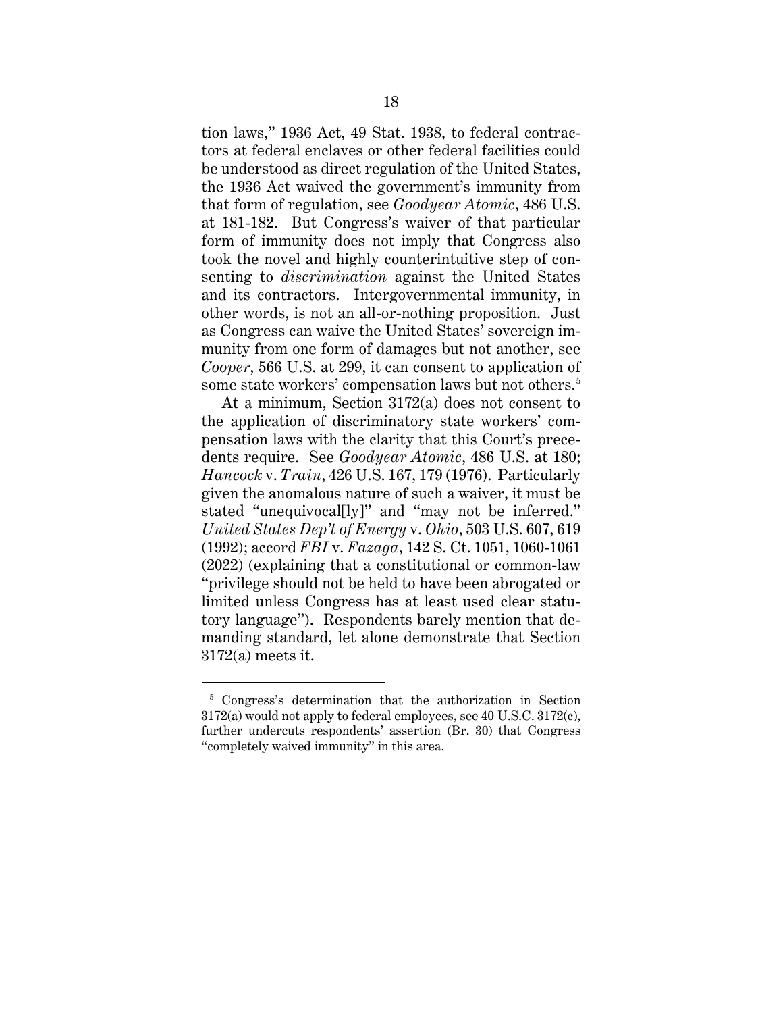tion laws," 1936 Act, 49 Stat. 1938, to federal contractors at federal enclaves or other federal facilities could be understood as direct regulation of the United States, the 1936 Act waived the government's immunity from that form of regulation, see *Goodyear Atomic*, 486 U.S. at 181-182. But Congress's waiver of that particular form of immunity does not imply that Congress also took the novel and highly counterintuitive step of consenting to *discrimination* against the United States and its contractors. Intergovernmental immunity, in other words, is not an all-or-nothing proposition. Just as Congress can waive the United States' sovereign immunity from one form of damages but not another, see *Cooper*, 566 U.S. at 299, it can consent to application of some state workers' compensation laws but not others.<sup>5</sup>

At a minimum, Section 3172(a) does not consent to the application of discriminatory state workers' compensation laws with the clarity that this Court's precedents require. See *Goodyear Atomic*, 486 U.S. at 180; *Hancock* v. *Train*, 426 U.S. 167, 179 (1976). Particularly given the anomalous nature of such a waiver, it must be stated "unequivocal[ly]" and "may not be inferred." *United States Dep't of Energy* v. *Ohio*, 503 U.S. 607, 619 (1992); accord *FBI* v. *Fazaga*, 142 S. Ct. 1051, 1060-1061 (2022) (explaining that a constitutional or common-law "privilege should not be held to have been abrogated or limited unless Congress has at least used clear statutory language"). Respondents barely mention that demanding standard, let alone demonstrate that Section 3172(a) meets it.

<sup>&</sup>lt;sup>5</sup> Congress's determination that the authorization in Section 3172(a) would not apply to federal employees, see 40 U.S.C. 3172(c), further undercuts respondents' assertion (Br. 30) that Congress "completely waived immunity" in this area.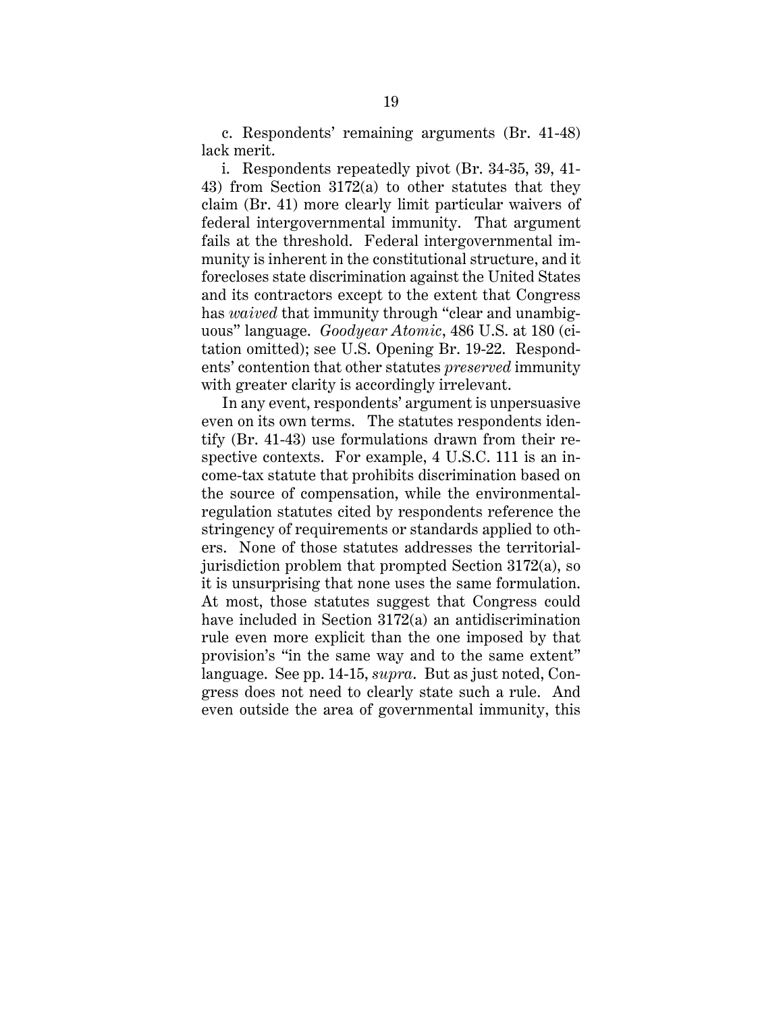c. Respondents' remaining arguments (Br. 41-48) lack merit.

i. Respondents repeatedly pivot (Br. 34-35, 39, 41- 43) from Section 3172(a) to other statutes that they claim (Br. 41) more clearly limit particular waivers of federal intergovernmental immunity. That argument fails at the threshold. Federal intergovernmental immunity is inherent in the constitutional structure, and it forecloses state discrimination against the United States and its contractors except to the extent that Congress has *waived* that immunity through "clear and unambiguous" language. *Goodyear Atomic*, 486 U.S. at 180 (citation omitted); see U.S. Opening Br. 19-22. Respondents' contention that other statutes *preserved* immunity with greater clarity is accordingly irrelevant.

In any event, respondents' argument is unpersuasive even on its own terms. The statutes respondents identify (Br. 41-43) use formulations drawn from their respective contexts. For example, 4 U.S.C. 111 is an income-tax statute that prohibits discrimination based on the source of compensation, while the environmentalregulation statutes cited by respondents reference the stringency of requirements or standards applied to others. None of those statutes addresses the territorialjurisdiction problem that prompted Section 3172(a), so it is unsurprising that none uses the same formulation. At most, those statutes suggest that Congress could have included in Section 3172(a) an antidiscrimination rule even more explicit than the one imposed by that provision's "in the same way and to the same extent" language. See pp. 14-15, *supra*. But as just noted, Congress does not need to clearly state such a rule. And even outside the area of governmental immunity, this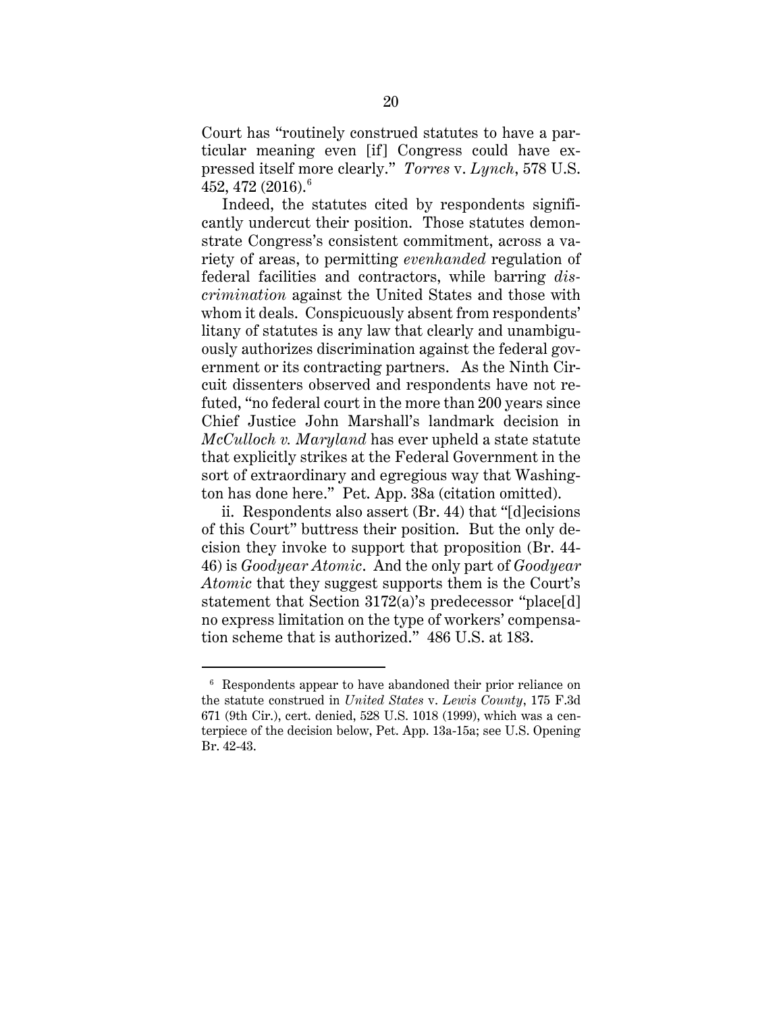Court has "routinely construed statutes to have a particular meaning even [if] Congress could have expressed itself more clearly." *Torres* v. *Lynch*, 578 U.S. 452, 472 (2016).<sup>6</sup>

Indeed, the statutes cited by respondents significantly undercut their position. Those statutes demonstrate Congress's consistent commitment, across a variety of areas, to permitting *evenhanded* regulation of federal facilities and contractors, while barring *discrimination* against the United States and those with whom it deals. Conspicuously absent from respondents' litany of statutes is any law that clearly and unambiguously authorizes discrimination against the federal government or its contracting partners. As the Ninth Circuit dissenters observed and respondents have not refuted, "no federal court in the more than 200 years since Chief Justice John Marshall's landmark decision in *McCulloch v. Maryland* has ever upheld a state statute that explicitly strikes at the Federal Government in the sort of extraordinary and egregious way that Washington has done here." Pet. App. 38a (citation omitted).

ii. Respondents also assert (Br. 44) that "[d]ecisions of this Court" buttress their position. But the only decision they invoke to support that proposition (Br. 44- 46) is *Goodyear Atomic*. And the only part of *Goodyear Atomic* that they suggest supports them is the Court's statement that Section 3172(a)'s predecessor "place[d] no express limitation on the type of workers' compensation scheme that is authorized." 486 U.S. at 183.

<sup>6</sup> Respondents appear to have abandoned their prior reliance on the statute construed in *United States* v. *Lewis County*, 175 F.3d 671 (9th Cir.), cert. denied, 528 U.S. 1018 (1999), which was a centerpiece of the decision below, Pet. App. 13a-15a; see U.S. Opening Br. 42-43.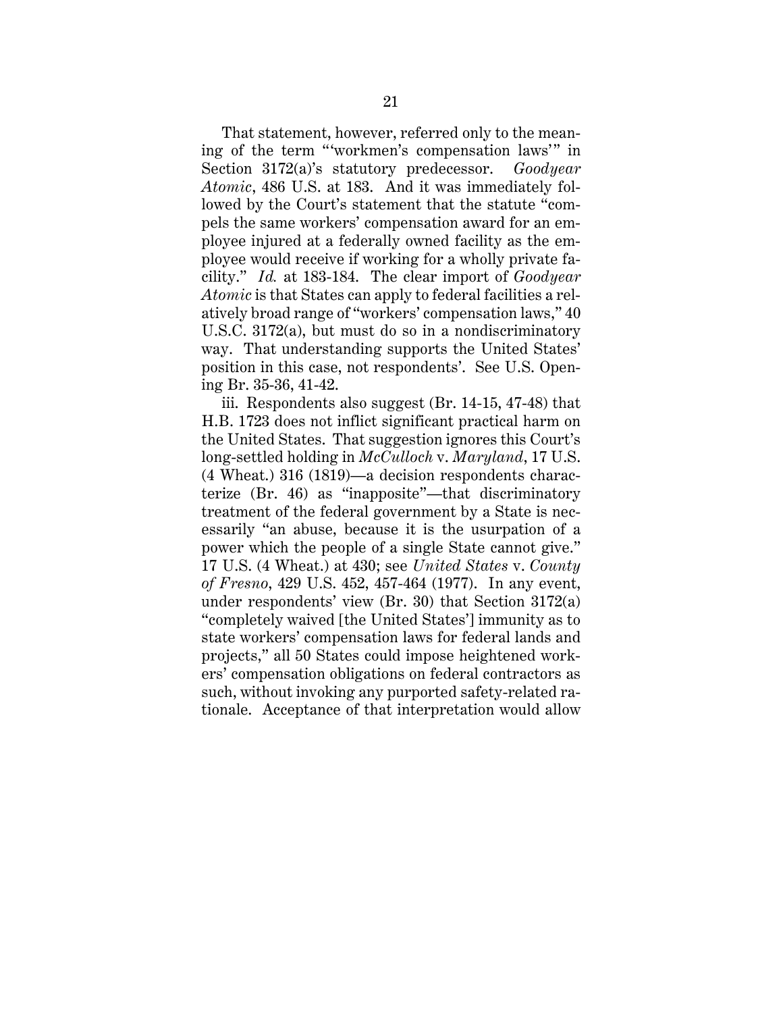That statement, however, referred only to the meaning of the term "'workmen's compensation laws'" in Section 3172(a)'s statutory predecessor. *Goodyear Atomic*, 486 U.S. at 183. And it was immediately followed by the Court's statement that the statute "compels the same workers' compensation award for an employee injured at a federally owned facility as the employee would receive if working for a wholly private facility." *Id.* at 183-184. The clear import of *Goodyear Atomic* is that States can apply to federal facilities a relatively broad range of "workers' compensation laws," 40 U.S.C. 3172(a), but must do so in a nondiscriminatory way. That understanding supports the United States' position in this case, not respondents'. See U.S. Opening Br. 35-36, 41-42.

iii. Respondents also suggest (Br. 14-15, 47-48) that H.B. 1723 does not inflict significant practical harm on the United States. That suggestion ignores this Court's long-settled holding in *McCulloch* v. *Maryland*, 17 U.S. (4 Wheat.) 316 (1819)—a decision respondents characterize (Br. 46) as "inapposite"—that discriminatory treatment of the federal government by a State is necessarily "an abuse, because it is the usurpation of a power which the people of a single State cannot give." 17 U.S. (4 Wheat.) at 430; see *United States* v. *County of Fresno*, 429 U.S. 452, 457-464 (1977). In any event, under respondents' view (Br. 30) that Section 3172(a) "completely waived [the United States'] immunity as to state workers' compensation laws for federal lands and projects," all 50 States could impose heightened workers' compensation obligations on federal contractors as such, without invoking any purported safety-related rationale. Acceptance of that interpretation would allow